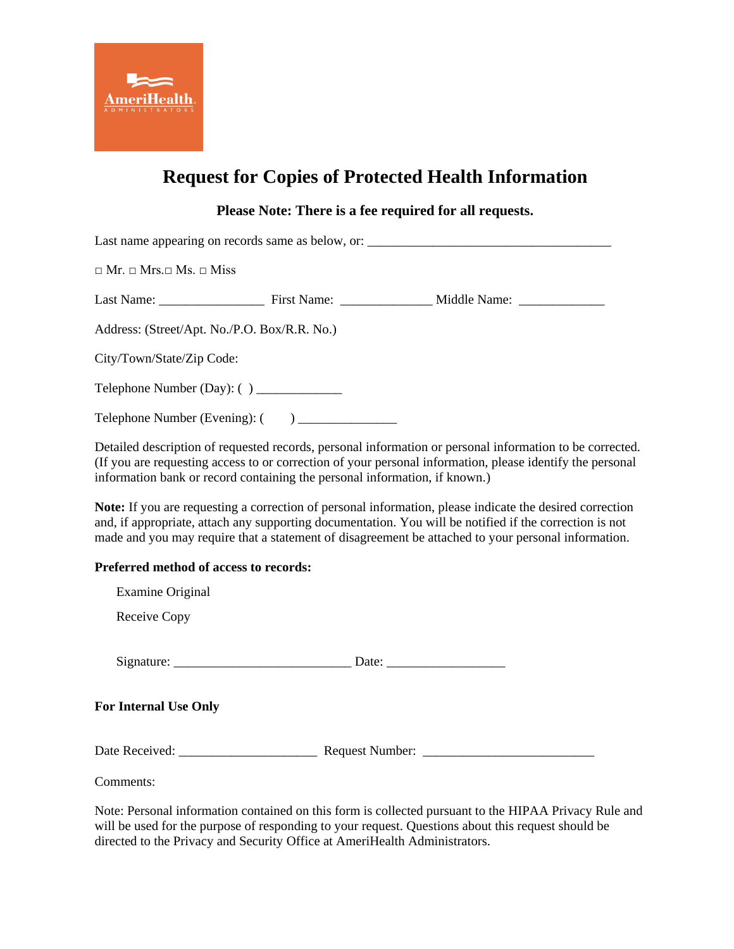

## **Request for Copies of Protected Health Information**

## **Please Note: There is a fee required for all requests.**

Last name appearing on records same as below, or: \_\_\_\_\_\_\_\_\_\_\_\_\_\_\_\_\_\_\_\_\_\_\_\_\_\_\_\_\_\_\_  $\Box$  Mr.  $\Box$  Mrs.  $\Box$  Miss.  $\Box$  Miss. Last Name: First Name: First Name: Middle Name: Address: (Street/Apt. No./P.O. Box/R.R. No.) City/Town/State/Zip Code: Telephone Number (Day): ( ) \_\_\_\_\_\_\_\_\_\_\_\_\_ Telephone Number (Evening): ( ) \_\_\_\_\_\_\_\_\_\_\_\_\_\_\_

Detailed description of requested records, personal information or personal information to be corrected. (If you are requesting access to or correction of your personal information, please identify the personal information bank or record containing the personal information, if known.)

**Note:** If you are requesting a correction of personal information, please indicate the desired correction and, if appropriate, attach any supporting documentation. You will be notified if the correction is not made and you may require that a statement of disagreement be attached to your personal information.

## **Preferred method of access to records:**

| Examine Original             |                                                          |
|------------------------------|----------------------------------------------------------|
| Receive Copy                 |                                                          |
|                              | Date: $\frac{1}{\sqrt{1-\frac{1}{2}} \cdot \frac{1}{2}}$ |
| <b>For Internal Use Only</b> |                                                          |
|                              |                                                          |
| Comments:                    |                                                          |

Note: Personal information contained on this form is collected pursuant to the HIPAA Privacy Rule and will be used for the purpose of responding to your request. Questions about this request should be directed to the Privacy and Security Office at AmeriHealth Administrators.